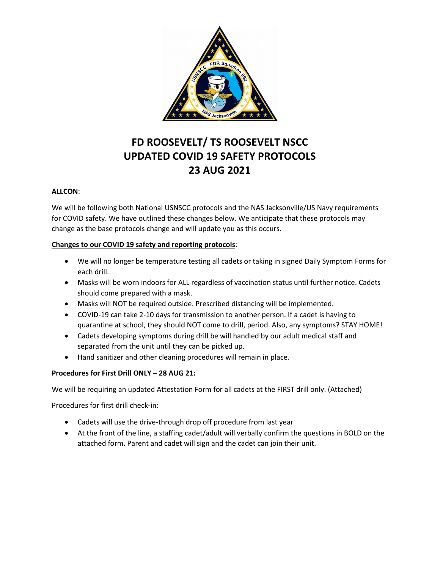

# **FD ROOSEVELT/ TS ROOSEVELT NSCC UPDATED COVID 19 SAFETY PROTOCOLS 23 AUG 2021**

#### **ALLCON**:

We will be following both National USNSCC protocols and the NAS Jacksonville/US Navy requirements for COVID safety. We have outlined these changes below. We anticipate that these protocols may change as the base protocols change and will update you as this occurs.

#### **Changes to our COVID 19 safety and reporting protocols**:

- We will no longer be temperature testing all cadets or taking in signed Daily Symptom Forms for each drill.
- Masks will be worn indoors for ALL regardless of vaccination status until further notice. Cadets should come prepared with a mask.
- Masks will NOT be required outside. Prescribed distancing will be implemented.
- COVID-19 can take 2-10 days for transmission to another person. If a cadet is having to quarantine at school, they should NOT come to drill, period. Also, any symptoms? STAY HOME!
- Cadets developing symptoms during drill be will handled by our adult medical staff and separated from the unit until they can be picked up.
- Hand sanitizer and other cleaning procedures will remain in place.

### **Procedures for First Drill ONLY – 28 AUG 21:**

We will be requiring an updated Attestation Form for all cadets at the FIRST drill only. (Attached)

Procedures for first drill check-in:

- Cadets will use the drive-through drop off procedure from last year
- At the front of the line, a staffing cadet/adult will verbally confirm the questions in BOLD on the attached form. Parent and cadet will sign and the cadet can join their unit.